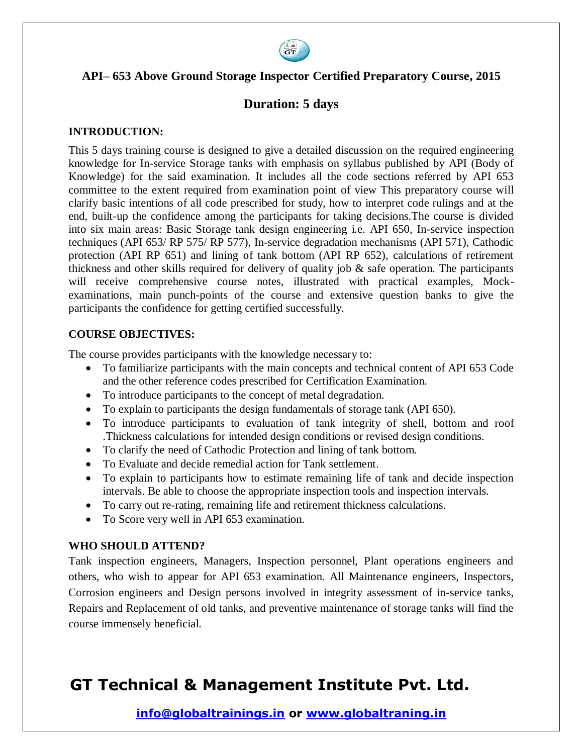

#### **API– 653 Above Ground Storage Inspector Certified Preparatory Course, 2015**

#### **Duration: 5 days**

#### **INTRODUCTION:**

This 5 days training course is designed to give a detailed discussion on the required engineering knowledge for In-service Storage tanks with emphasis on syllabus published by API (Body of Knowledge) for the said examination. It includes all the code sections referred by API 653 committee to the extent required from examination point of view This preparatory course will clarify basic intentions of all code prescribed for study, how to interpret code rulings and at the end, built-up the confidence among the participants for taking decisions.The course is divided into six main areas: Basic Storage tank design engineering i.e. API 650, In-service inspection techniques (API 653/ RP 575/ RP 577), In-service degradation mechanisms (API 571), Cathodic protection (API RP 651) and lining of tank bottom (API RP 652), calculations of retirement thickness and other skills required for delivery of quality job & safe operation. The participants will receive comprehensive course notes, illustrated with practical examples, Mockexaminations, main punch-points of the course and extensive question banks to give the participants the confidence for getting certified successfully.

#### **COURSE OBJECTIVES:**

The course provides participants with the knowledge necessary to:

- To familiarize participants with the main concepts and technical content of API 653 Code and the other reference codes prescribed for Certification Examination.
- To introduce participants to the concept of metal degradation.
- To explain to participants the design fundamentals of storage tank (API 650).
- To introduce participants to evaluation of tank integrity of shell, bottom and roof .Thickness calculations for intended design conditions or revised design conditions.
- To clarify the need of Cathodic Protection and lining of tank bottom.
- To Evaluate and decide remedial action for Tank settlement.
- To explain to participants how to estimate remaining life of tank and decide inspection intervals. Be able to choose the appropriate inspection tools and inspection intervals.
- To carry out re-rating, remaining life and retirement thickness calculations.
- To Score very well in API 653 examination.

#### **WHO SHOULD ATTEND?**

Tank inspection engineers, Managers, Inspection personnel, Plant operations engineers and others, who wish to appear for API 653 examination. All Maintenance engineers, Inspectors, Corrosion engineers and Design persons involved in integrity assessment of in-service tanks, Repairs and Replacement of old tanks, and preventive maintenance of storage tanks will find the course immensely beneficial.

# **GT Technical & Management Institute Pvt. Ltd.**

**info@globaltrainings.in or www.globaltraning.in**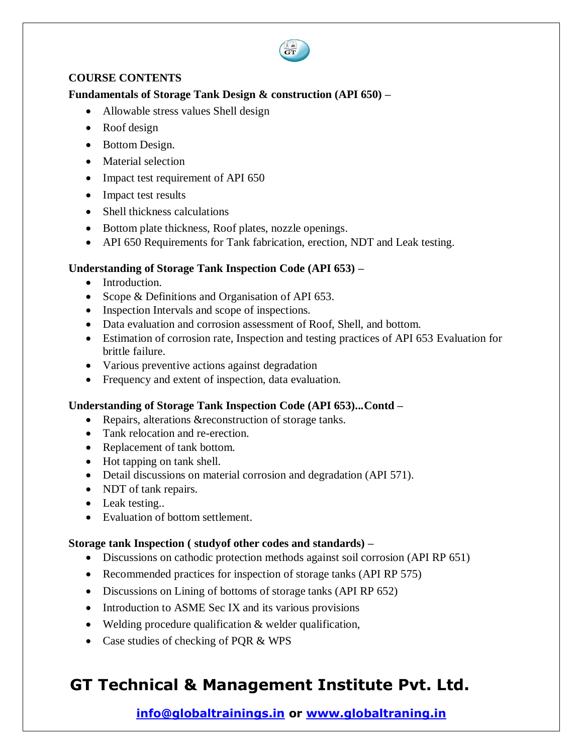

#### **COURSE CONTENTS**

#### **Fundamentals of Storage Tank Design & construction (API 650) –**

- Allowable stress values Shell design
- Roof design
- Bottom Design.
- Material selection
- Impact test requirement of API 650
- Impact test results
- Shell thickness calculations
- Bottom plate thickness, Roof plates, nozzle openings.
- API 650 Requirements for Tank fabrication, erection, NDT and Leak testing.

#### **Understanding of Storage Tank Inspection Code (API 653) –**

- Introduction.
- Scope & Definitions and Organisation of API 653.
- Inspection Intervals and scope of inspections.
- Data evaluation and corrosion assessment of Roof, Shell, and bottom.
- Estimation of corrosion rate, Inspection and testing practices of API 653 Evaluation for brittle failure.
- Various preventive actions against degradation
- Frequency and extent of inspection, data evaluation.

#### **Understanding of Storage Tank Inspection Code (API 653)...Contd –**

- Repairs, alterations & reconstruction of storage tanks.
- Tank relocation and re-erection.
- Replacement of tank bottom.
- Hot tapping on tank shell.
- Detail discussions on material corrosion and degradation (API 571).
- NDT of tank repairs.
- Leak testing...
- Evaluation of bottom settlement.

#### **Storage tank Inspection ( studyof other codes and standards) –**

- Discussions on cathodic protection methods against soil corrosion (API RP 651)
- Recommended practices for inspection of storage tanks (API RP 575)
- Discussions on Lining of bottoms of storage tanks (API RP 652)
- Introduction to ASME Sec IX and its various provisions
- Welding procedure qualification & welder qualification,
- Case studies of checking of PQR & WPS

# **GT Technical & Management Institute Pvt. Ltd.**

### **info@globaltrainings.in or www.globaltraning.in**